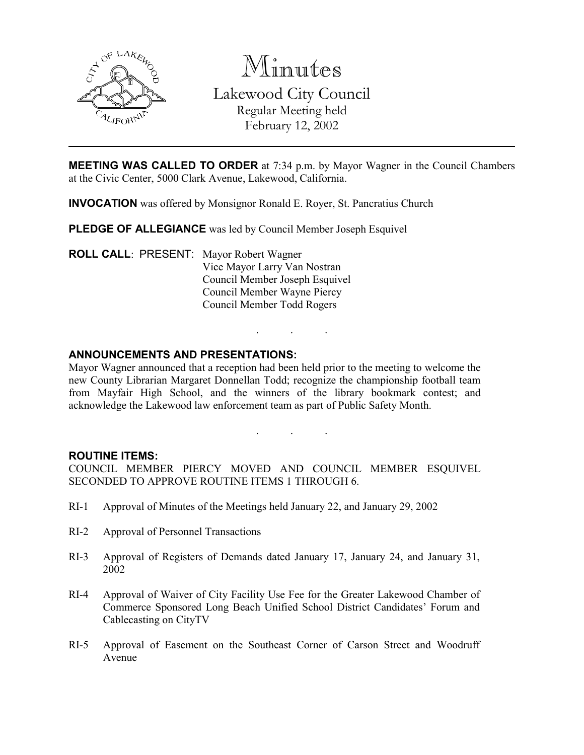

Minutes

Lakewood City Council Regular Meeting held February 12, 2002

**MEETING WAS CALLED TO ORDER** at 7:34 p.m. by Mayor Wagner in the Council Chambers at the Civic Center, 5000 Clark Avenue, Lakewood, California.

INVOCATION was offered by Monsignor Ronald E. Royer, St. Pancratius Church

PLEDGE OF ALLEGIANCE was led by Council Member Joseph Esquivel

ROLL CALL: PRESENT: Mayor Robert Wagner Vice Mayor Larry Van Nostran Council Member Joseph Esquivel Council Member Wayne Piercy Council Member Todd Rogers

### ANNOUNCEMENTS AND PRESENTATIONS:

Mayor Wagner announced that a reception had been held prior to the meeting to welcome the new County Librarian Margaret Donnellan Todd; recognize the championship football team from Mayfair High School, and the winners of the library bookmark contest; and acknowledge the Lakewood law enforcement team as part of Public Safety Month.

. . .

. . .

### ROUTINE ITEMS:

COUNCIL MEMBER PIERCY MOVED AND COUNCIL MEMBER ESQUIVEL SECONDED TO APPROVE ROUTINE ITEMS 1 THROUGH 6.

- RI-1 Approval of Minutes of the Meetings held January 22, and January 29, 2002
- RI-2 Approval of Personnel Transactions
- RI-3 Approval of Registers of Demands dated January 17, January 24, and January 31, 2002
- RI-4 Approval of Waiver of City Facility Use Fee for the Greater Lakewood Chamber of Commerce Sponsored Long Beach Unified School District Candidates' Forum and Cablecasting on CityTV
- RI-5 Approval of Easement on the Southeast Corner of Carson Street and Woodruff Avenue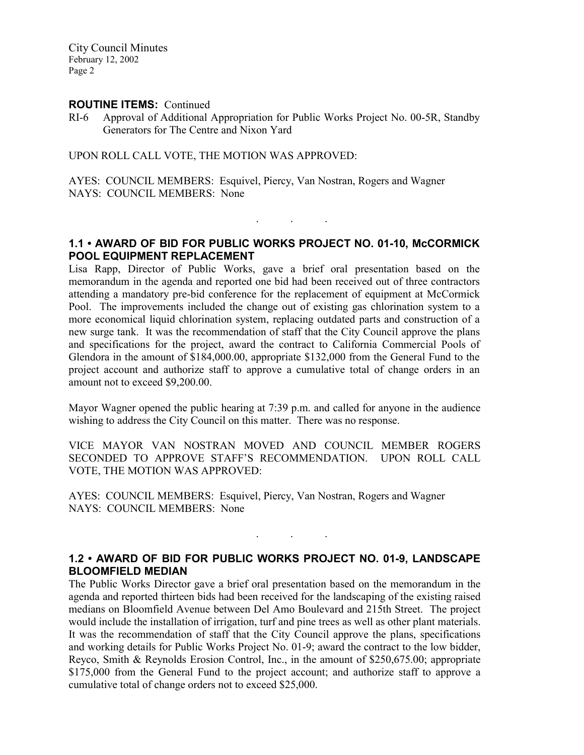#### ROUTINE ITEMS: Continued

RI-6 Approval of Additional Appropriation for Public Works Project No. 00-5R, Standby Generators for The Centre and Nixon Yard

UPON ROLL CALL VOTE, THE MOTION WAS APPROVED:

AYES: COUNCIL MEMBERS: Esquivel, Piercy, Van Nostran, Rogers and Wagner NAYS: COUNCIL MEMBERS: None

## 1.1 • AWARD OF BID FOR PUBLIC WORKS PROJECT NO. 01-10, McCORMICK POOL EQUIPMENT REPLACEMENT

. . .

Lisa Rapp, Director of Public Works, gave a brief oral presentation based on the memorandum in the agenda and reported one bid had been received out of three contractors attending a mandatory pre-bid conference for the replacement of equipment at McCormick Pool. The improvements included the change out of existing gas chlorination system to a more economical liquid chlorination system, replacing outdated parts and construction of a new surge tank. It was the recommendation of staff that the City Council approve the plans and specifications for the project, award the contract to California Commercial Pools of Glendora in the amount of \$184,000.00, appropriate \$132,000 from the General Fund to the project account and authorize staff to approve a cumulative total of change orders in an amount not to exceed \$9,200.00.

Mayor Wagner opened the public hearing at 7:39 p.m. and called for anyone in the audience wishing to address the City Council on this matter. There was no response.

VICE MAYOR VAN NOSTRAN MOVED AND COUNCIL MEMBER ROGERS SECONDED TO APPROVE STAFF'S RECOMMENDATION. UPON ROLL CALL VOTE, THE MOTION WAS APPROVED:

AYES: COUNCIL MEMBERS: Esquivel, Piercy, Van Nostran, Rogers and Wagner NAYS: COUNCIL MEMBERS: None

## 1.2 • AWARD OF BID FOR PUBLIC WORKS PROJECT NO. 01-9, LANDSCAPE BLOOMFIELD MEDIAN

. . .

The Public Works Director gave a brief oral presentation based on the memorandum in the agenda and reported thirteen bids had been received for the landscaping of the existing raised medians on Bloomfield Avenue between Del Amo Boulevard and 215th Street. The project would include the installation of irrigation, turf and pine trees as well as other plant materials. It was the recommendation of staff that the City Council approve the plans, specifications and working details for Public Works Project No. 01-9; award the contract to the low bidder, Reyco, Smith & Reynolds Erosion Control, Inc., in the amount of \$250,675.00; appropriate \$175,000 from the General Fund to the project account; and authorize staff to approve a cumulative total of change orders not to exceed \$25,000.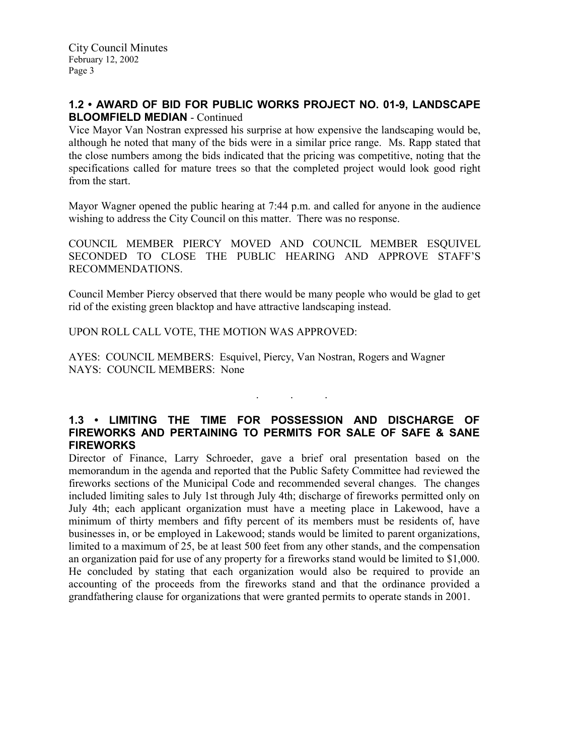## 1.2 • AWARD OF BID FOR PUBLIC WORKS PROJECT NO. 01-9, LANDSCAPE BLOOMFIELD MEDIAN - Continued

Vice Mayor Van Nostran expressed his surprise at how expensive the landscaping would be, although he noted that many of the bids were in a similar price range. Ms. Rapp stated that the close numbers among the bids indicated that the pricing was competitive, noting that the specifications called for mature trees so that the completed project would look good right from the start.

Mayor Wagner opened the public hearing at 7:44 p.m. and called for anyone in the audience wishing to address the City Council on this matter. There was no response.

COUNCIL MEMBER PIERCY MOVED AND COUNCIL MEMBER ESOUIVEL SECONDED TO CLOSE THE PUBLIC HEARING AND APPROVE STAFF'S RECOMMENDATIONS.

Council Member Piercy observed that there would be many people who would be glad to get rid of the existing green blacktop and have attractive landscaping instead.

UPON ROLL CALL VOTE, THE MOTION WAS APPROVED:

AYES: COUNCIL MEMBERS: Esquivel, Piercy, Van Nostran, Rogers and Wagner NAYS: COUNCIL MEMBERS: None

## 1.3 • LIMITING THE TIME FOR POSSESSION AND DISCHARGE OF FIREWORKS AND PERTAINING TO PERMITS FOR SALE OF SAFE & SANE FIREWORKS

. . .

Director of Finance, Larry Schroeder, gave a brief oral presentation based on the memorandum in the agenda and reported that the Public Safety Committee had reviewed the fireworks sections of the Municipal Code and recommended several changes. The changes included limiting sales to July 1st through July 4th; discharge of fireworks permitted only on July 4th; each applicant organization must have a meeting place in Lakewood, have a minimum of thirty members and fifty percent of its members must be residents of, have businesses in, or be employed in Lakewood; stands would be limited to parent organizations, limited to a maximum of 25, be at least 500 feet from any other stands, and the compensation an organization paid for use of any property for a fireworks stand would be limited to \$1,000. He concluded by stating that each organization would also be required to provide an accounting of the proceeds from the fireworks stand and that the ordinance provided a grandfathering clause for organizations that were granted permits to operate stands in 2001.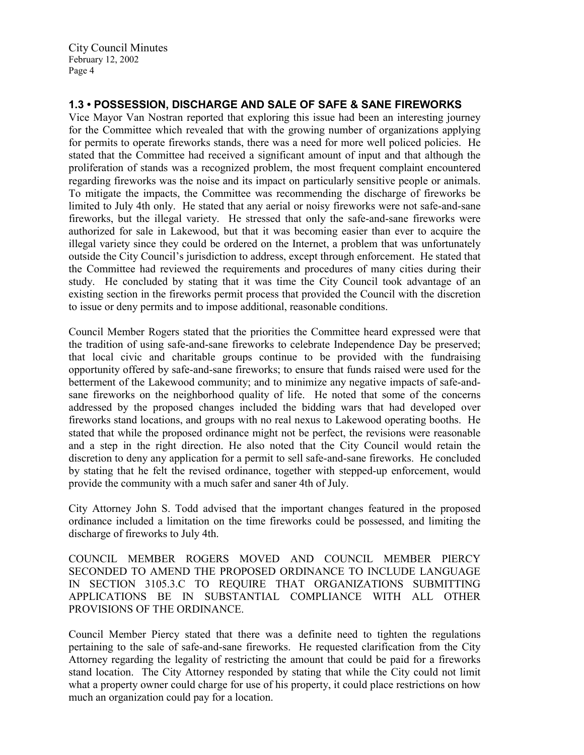# 1.3 • POSSESSION, DISCHARGE AND SALE OF SAFE & SANE FIREWORKS

Vice Mayor Van Nostran reported that exploring this issue had been an interesting journey for the Committee which revealed that with the growing number of organizations applying for permits to operate fireworks stands, there was a need for more well policed policies. He stated that the Committee had received a significant amount of input and that although the proliferation of stands was a recognized problem, the most frequent complaint encountered regarding fireworks was the noise and its impact on particularly sensitive people or animals. To mitigate the impacts, the Committee was recommending the discharge of fireworks be limited to July 4th only. He stated that any aerial or noisy fireworks were not safe-and-sane fireworks, but the illegal variety. He stressed that only the safe-and-sane fireworks were authorized for sale in Lakewood, but that it was becoming easier than ever to acquire the illegal variety since they could be ordered on the Internet, a problem that was unfortunately outside the City Council's jurisdiction to address, except through enforcement. He stated that the Committee had reviewed the requirements and procedures of many cities during their study. He concluded by stating that it was time the City Council took advantage of an existing section in the fireworks permit process that provided the Council with the discretion to issue or deny permits and to impose additional, reasonable conditions.

Council Member Rogers stated that the priorities the Committee heard expressed were that the tradition of using safe-and-sane fireworks to celebrate Independence Day be preserved; that local civic and charitable groups continue to be provided with the fundraising opportunity offered by safe-and-sane fireworks; to ensure that funds raised were used for the betterment of the Lakewood community; and to minimize any negative impacts of safe-andsane fireworks on the neighborhood quality of life. He noted that some of the concerns addressed by the proposed changes included the bidding wars that had developed over fireworks stand locations, and groups with no real nexus to Lakewood operating booths. He stated that while the proposed ordinance might not be perfect, the revisions were reasonable and a step in the right direction. He also noted that the City Council would retain the discretion to deny any application for a permit to sell safe-and-sane fireworks. He concluded by stating that he felt the revised ordinance, together with stepped-up enforcement, would provide the community with a much safer and saner 4th of July.

City Attorney John S. Todd advised that the important changes featured in the proposed ordinance included a limitation on the time fireworks could be possessed, and limiting the discharge of fireworks to July 4th.

COUNCIL MEMBER ROGERS MOVED AND COUNCIL MEMBER PIERCY SECONDED TO AMEND THE PROPOSED ORDINANCE TO INCLUDE LANGUAGE IN SECTION 3105.3.C TO REQUIRE THAT ORGANIZATIONS SUBMITTING APPLICATIONS BE IN SUBSTANTIAL COMPLIANCE WITH ALL OTHER PROVISIONS OF THE ORDINANCE.

Council Member Piercy stated that there was a definite need to tighten the regulations pertaining to the sale of safe-and-sane fireworks. He requested clarification from the City Attorney regarding the legality of restricting the amount that could be paid for a fireworks stand location. The City Attorney responded by stating that while the City could not limit what a property owner could charge for use of his property, it could place restrictions on how much an organization could pay for a location.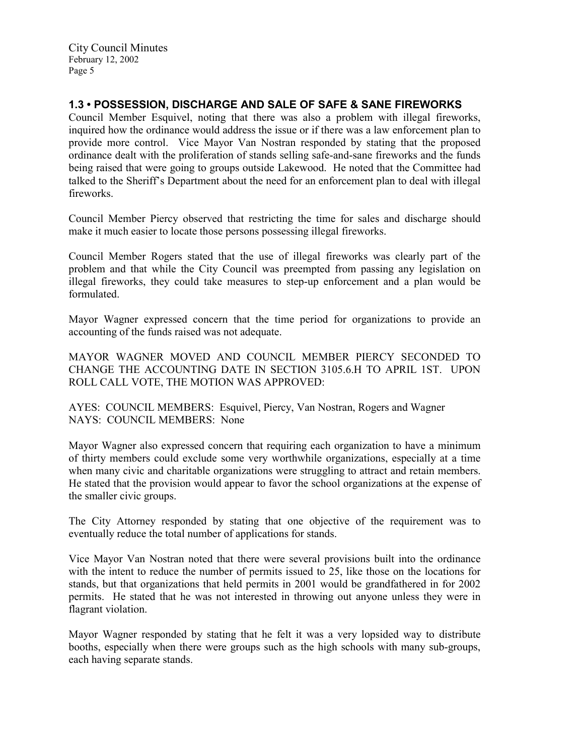## 1.3 • POSSESSION, DISCHARGE AND SALE OF SAFE & SANE FIREWORKS

Council Member Esquivel, noting that there was also a problem with illegal fireworks, inquired how the ordinance would address the issue or if there was a law enforcement plan to provide more control. Vice Mayor Van Nostran responded by stating that the proposed ordinance dealt with the proliferation of stands selling safe-and-sane fireworks and the funds being raised that were going to groups outside Lakewood. He noted that the Committee had talked to the Sheriff's Department about the need for an enforcement plan to deal with illegal fireworks.

Council Member Piercy observed that restricting the time for sales and discharge should make it much easier to locate those persons possessing illegal fireworks.

Council Member Rogers stated that the use of illegal fireworks was clearly part of the problem and that while the City Council was preempted from passing any legislation on illegal fireworks, they could take measures to step-up enforcement and a plan would be formulated.

Mayor Wagner expressed concern that the time period for organizations to provide an accounting of the funds raised was not adequate.

MAYOR WAGNER MOVED AND COUNCIL MEMBER PIERCY SECONDED TO CHANGE THE ACCOUNTING DATE IN SECTION 3105.6.H TO APRIL 1ST. UPON ROLL CALL VOTE, THE MOTION WAS APPROVED:

AYES: COUNCIL MEMBERS: Esquivel, Piercy, Van Nostran, Rogers and Wagner NAYS: COUNCIL MEMBERS: None

Mayor Wagner also expressed concern that requiring each organization to have a minimum of thirty members could exclude some very worthwhile organizations, especially at a time when many civic and charitable organizations were struggling to attract and retain members. He stated that the provision would appear to favor the school organizations at the expense of the smaller civic groups.

The City Attorney responded by stating that one objective of the requirement was to eventually reduce the total number of applications for stands.

Vice Mayor Van Nostran noted that there were several provisions built into the ordinance with the intent to reduce the number of permits issued to 25, like those on the locations for stands, but that organizations that held permits in 2001 would be grandfathered in for 2002 permits. He stated that he was not interested in throwing out anyone unless they were in flagrant violation.

Mayor Wagner responded by stating that he felt it was a very lopsided way to distribute booths, especially when there were groups such as the high schools with many sub-groups, each having separate stands.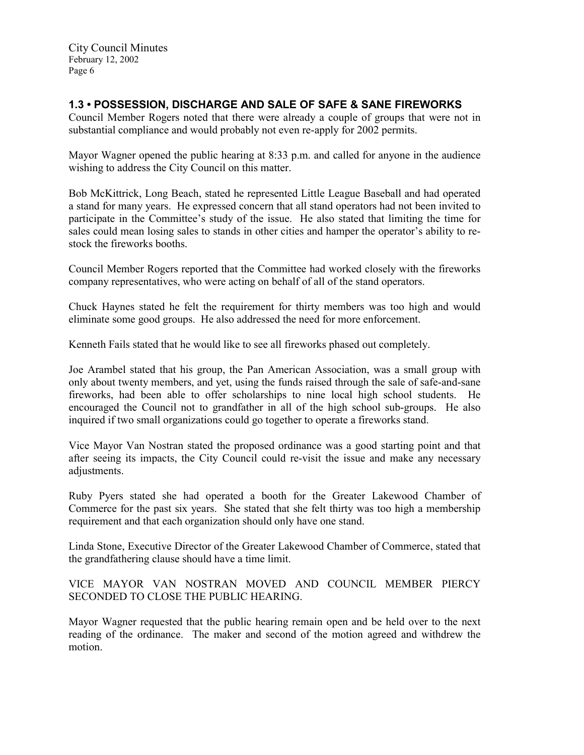## 1.3 • POSSESSION, DISCHARGE AND SALE OF SAFE & SANE FIREWORKS

Council Member Rogers noted that there were already a couple of groups that were not in substantial compliance and would probably not even re-apply for 2002 permits.

Mayor Wagner opened the public hearing at 8:33 p.m. and called for anyone in the audience wishing to address the City Council on this matter.

Bob McKittrick, Long Beach, stated he represented Little League Baseball and had operated a stand for many years. He expressed concern that all stand operators had not been invited to participate in the Committee's study of the issue. He also stated that limiting the time for sales could mean losing sales to stands in other cities and hamper the operator's ability to restock the fireworks booths.

Council Member Rogers reported that the Committee had worked closely with the fireworks company representatives, who were acting on behalf of all of the stand operators.

Chuck Haynes stated he felt the requirement for thirty members was too high and would eliminate some good groups. He also addressed the need for more enforcement.

Kenneth Fails stated that he would like to see all fireworks phased out completely.

Joe Arambel stated that his group, the Pan American Association, was a small group with only about twenty members, and yet, using the funds raised through the sale of safe-and-sane fireworks, had been able to offer scholarships to nine local high school students. He encouraged the Council not to grandfather in all of the high school sub-groups. He also inquired if two small organizations could go together to operate a fireworks stand.

Vice Mayor Van Nostran stated the proposed ordinance was a good starting point and that after seeing its impacts, the City Council could re-visit the issue and make any necessary adjustments.

Ruby Pyers stated she had operated a booth for the Greater Lakewood Chamber of Commerce for the past six years. She stated that she felt thirty was too high a membership requirement and that each organization should only have one stand.

Linda Stone, Executive Director of the Greater Lakewood Chamber of Commerce, stated that the grandfathering clause should have a time limit.

VICE MAYOR VAN NOSTRAN MOVED AND COUNCIL MEMBER PIERCY SECONDED TO CLOSE THE PUBLIC HEARING.

Mayor Wagner requested that the public hearing remain open and be held over to the next reading of the ordinance. The maker and second of the motion agreed and withdrew the motion.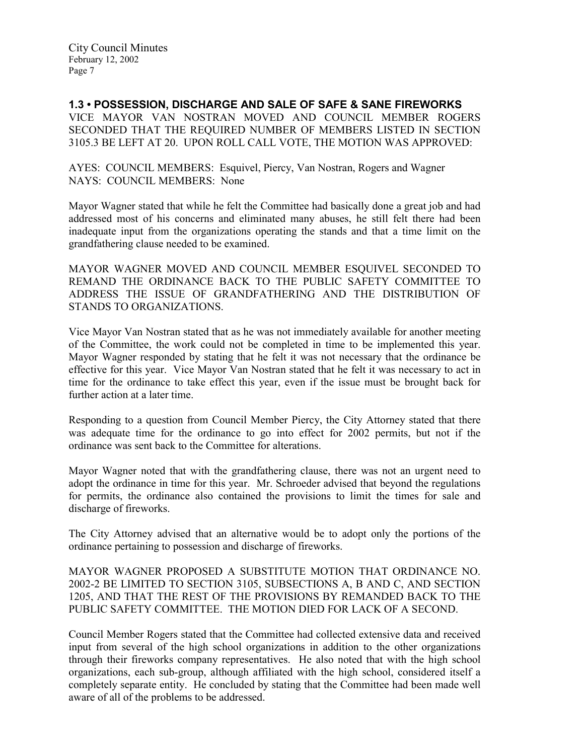1.3 • POSSESSION, DISCHARGE AND SALE OF SAFE & SANE FIREWORKS VICE MAYOR VAN NOSTRAN MOVED AND COUNCIL MEMBER ROGERS SECONDED THAT THE REQUIRED NUMBER OF MEMBERS LISTED IN SECTION 3105.3 BE LEFT AT 20. UPON ROLL CALL VOTE, THE MOTION WAS APPROVED:

AYES: COUNCIL MEMBERS: Esquivel, Piercy, Van Nostran, Rogers and Wagner NAYS: COUNCIL MEMBERS: None

Mayor Wagner stated that while he felt the Committee had basically done a great job and had addressed most of his concerns and eliminated many abuses, he still felt there had been inadequate input from the organizations operating the stands and that a time limit on the grandfathering clause needed to be examined.

MAYOR WAGNER MOVED AND COUNCIL MEMBER ESQUIVEL SECONDED TO REMAND THE ORDINANCE BACK TO THE PUBLIC SAFETY COMMITTEE TO ADDRESS THE ISSUE OF GRANDFATHERING AND THE DISTRIBUTION OF STANDS TO ORGANIZATIONS.

Vice Mayor Van Nostran stated that as he was not immediately available for another meeting of the Committee, the work could not be completed in time to be implemented this year. Mayor Wagner responded by stating that he felt it was not necessary that the ordinance be effective for this year. Vice Mayor Van Nostran stated that he felt it was necessary to act in time for the ordinance to take effect this year, even if the issue must be brought back for further action at a later time.

Responding to a question from Council Member Piercy, the City Attorney stated that there was adequate time for the ordinance to go into effect for 2002 permits, but not if the ordinance was sent back to the Committee for alterations.

Mayor Wagner noted that with the grandfathering clause, there was not an urgent need to adopt the ordinance in time for this year. Mr. Schroeder advised that beyond the regulations for permits, the ordinance also contained the provisions to limit the times for sale and discharge of fireworks.

The City Attorney advised that an alternative would be to adopt only the portions of the ordinance pertaining to possession and discharge of fireworks.

MAYOR WAGNER PROPOSED A SUBSTITUTE MOTION THAT ORDINANCE NO. 2002-2 BE LIMITED TO SECTION 3105, SUBSECTIONS A, B AND C, AND SECTION 1205, AND THAT THE REST OF THE PROVISIONS BY REMANDED BACK TO THE PUBLIC SAFETY COMMITTEE. THE MOTION DIED FOR LACK OF A SECOND.

Council Member Rogers stated that the Committee had collected extensive data and received input from several of the high school organizations in addition to the other organizations through their fireworks company representatives. He also noted that with the high school organizations, each sub-group, although affiliated with the high school, considered itself a completely separate entity. He concluded by stating that the Committee had been made well aware of all of the problems to be addressed.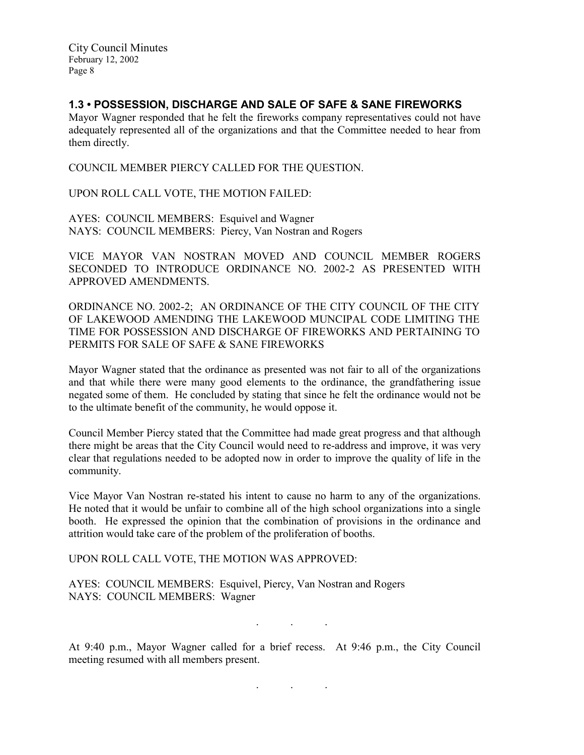## 1.3 • POSSESSION, DISCHARGE AND SALE OF SAFE & SANE FIREWORKS

Mayor Wagner responded that he felt the fireworks company representatives could not have adequately represented all of the organizations and that the Committee needed to hear from them directly.

COUNCIL MEMBER PIERCY CALLED FOR THE QUESTION.

UPON ROLL CALL VOTE, THE MOTION FAILED:

AYES: COUNCIL MEMBERS: Esquivel and Wagner NAYS: COUNCIL MEMBERS: Piercy, Van Nostran and Rogers

VICE MAYOR VAN NOSTRAN MOVED AND COUNCIL MEMBER ROGERS SECONDED TO INTRODUCE ORDINANCE NO. 2002-2 AS PRESENTED WITH APPROVED AMENDMENTS.

ORDINANCE NO. 2002-2; AN ORDINANCE OF THE CITY COUNCIL OF THE CITY OF LAKEWOOD AMENDING THE LAKEWOOD MUNCIPAL CODE LIMITING THE TIME FOR POSSESSION AND DISCHARGE OF FIREWORKS AND PERTAINING TO PERMITS FOR SALE OF SAFE & SANE FIREWORKS

Mayor Wagner stated that the ordinance as presented was not fair to all of the organizations and that while there were many good elements to the ordinance, the grandfathering issue negated some of them. He concluded by stating that since he felt the ordinance would not be to the ultimate benefit of the community, he would oppose it.

Council Member Piercy stated that the Committee had made great progress and that although there might be areas that the City Council would need to re-address and improve, it was very clear that regulations needed to be adopted now in order to improve the quality of life in the community.

Vice Mayor Van Nostran re-stated his intent to cause no harm to any of the organizations. He noted that it would be unfair to combine all of the high school organizations into a single booth. He expressed the opinion that the combination of provisions in the ordinance and attrition would take care of the problem of the proliferation of booths.

UPON ROLL CALL VOTE, THE MOTION WAS APPROVED:

AYES: COUNCIL MEMBERS: Esquivel, Piercy, Van Nostran and Rogers NAYS: COUNCIL MEMBERS: Wagner

. . .

At 9:40 p.m., Mayor Wagner called for a brief recess. At 9:46 p.m., the City Council meeting resumed with all members present.

. . .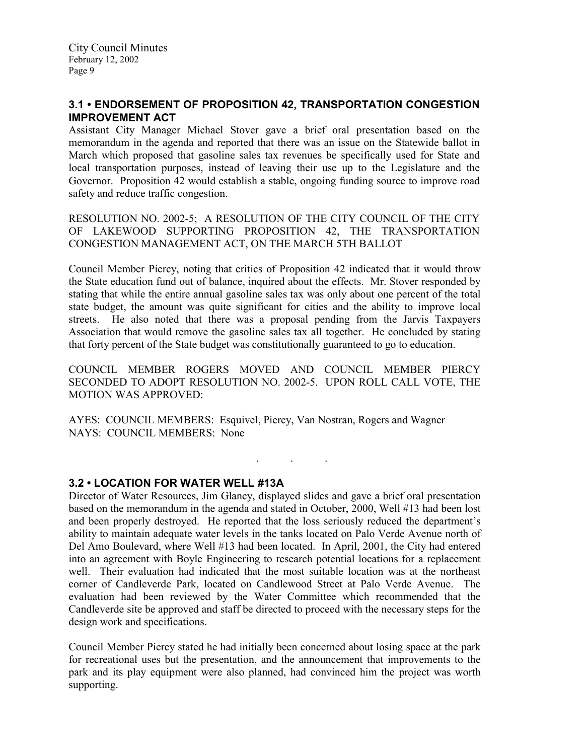## 3.1 • ENDORSEMENT OF PROPOSITION 42, TRANSPORTATION CONGESTION IMPROVEMENT ACT

Assistant City Manager Michael Stover gave a brief oral presentation based on the memorandum in the agenda and reported that there was an issue on the Statewide ballot in March which proposed that gasoline sales tax revenues be specifically used for State and local transportation purposes, instead of leaving their use up to the Legislature and the Governor. Proposition 42 would establish a stable, ongoing funding source to improve road safety and reduce traffic congestion.

RESOLUTION NO. 2002-5; A RESOLUTION OF THE CITY COUNCIL OF THE CITY OF LAKEWOOD SUPPORTING PROPOSITION 42, THE TRANSPORTATION CONGESTION MANAGEMENT ACT, ON THE MARCH 5TH BALLOT

Council Member Piercy, noting that critics of Proposition 42 indicated that it would throw the State education fund out of balance, inquired about the effects. Mr. Stover responded by stating that while the entire annual gasoline sales tax was only about one percent of the total state budget, the amount was quite significant for cities and the ability to improve local streets. He also noted that there was a proposal pending from the Jarvis Taxpayers Association that would remove the gasoline sales tax all together. He concluded by stating that forty percent of the State budget was constitutionally guaranteed to go to education.

COUNCIL MEMBER ROGERS MOVED AND COUNCIL MEMBER PIERCY SECONDED TO ADOPT RESOLUTION NO. 2002-5. UPON ROLL CALL VOTE, THE MOTION WAS APPROVED:

. . .

AYES: COUNCIL MEMBERS: Esquivel, Piercy, Van Nostran, Rogers and Wagner NAYS: COUNCIL MEMBERS: None

### 3.2 • LOCATION FOR WATER WELL #13A

Director of Water Resources, Jim Glancy, displayed slides and gave a brief oral presentation based on the memorandum in the agenda and stated in October, 2000, Well #13 had been lost and been properly destroyed. He reported that the loss seriously reduced the department's ability to maintain adequate water levels in the tanks located on Palo Verde Avenue north of Del Amo Boulevard, where Well #13 had been located. In April, 2001, the City had entered into an agreement with Boyle Engineering to research potential locations for a replacement well. Their evaluation had indicated that the most suitable location was at the northeast corner of Candleverde Park, located on Candlewood Street at Palo Verde Avenue. The evaluation had been reviewed by the Water Committee which recommended that the Candleverde site be approved and staff be directed to proceed with the necessary steps for the design work and specifications.

Council Member Piercy stated he had initially been concerned about losing space at the park for recreational uses but the presentation, and the announcement that improvements to the park and its play equipment were also planned, had convinced him the project was worth supporting.